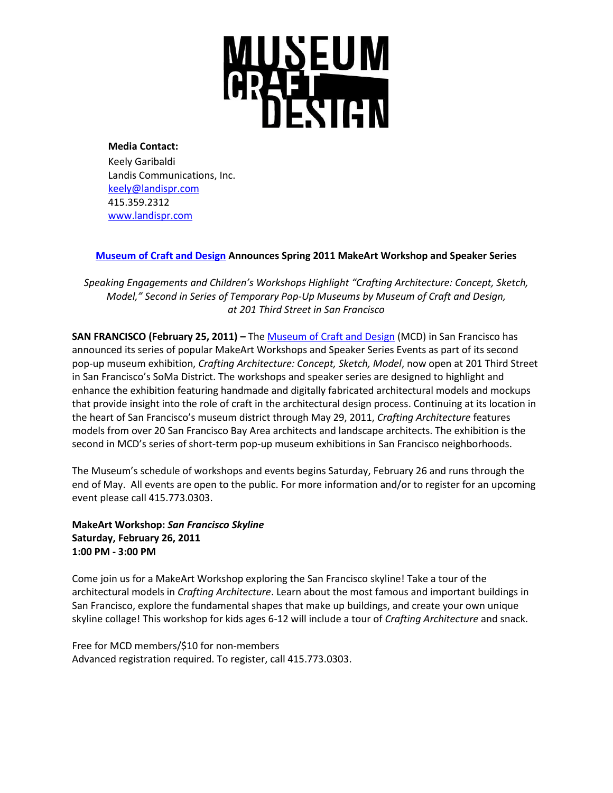

### **Media Contact:**

Keely Garibaldi Landis Communications, Inc. [keely@landispr.com](mailto:keely@landispr.com) 415.359.2312 [www.landispr.com](http://www.landispr.com/)

## **[Museum of Craft and Design](http://www.sfmcd.org/) Announces Spring 2011 MakeArt Workshop and Speaker Series**

*Speaking Engagements and Children's Workshops Highlight "Crafting Architecture: Concept, Sketch, Model," Second in Series of Temporary Pop-Up Museums by Museum of Craft and Design, at 201 Third Street in San Francisco*

**SAN FRANCISCO (February 25, 2011) –** The [Museum of Craft and Design](http://www.sfmcd.org/) (MCD) in San Francisco has announced its series of popular MakeArt Workshops and Speaker Series Events as part of its second pop-up museum exhibition, *Crafting Architecture: Concept, Sketch, Model*, now open at 201 Third Street in San Francisco's SoMa District. The workshops and speaker series are designed to highlight and enhance the exhibition featuring handmade and digitally fabricated architectural models and mockups that provide insight into the role of craft in the architectural design process. Continuing at its location in the heart of San Francisco's museum district through May 29, 2011, *Crafting Architecture* features models from over 20 San Francisco Bay Area architects and landscape architects. The exhibition is the second in MCD's series of short-term pop-up museum exhibitions in San Francisco neighborhoods.

The Museum's schedule of workshops and events begins Saturday, February 26 and runs through the end of May. All events are open to the public. For more information and/or to register for an upcoming event please call 415.773.0303.

# **MakeArt Workshop:** *San Francisco Skyline* **Saturday, February 26, 2011 1:00 PM - 3:00 PM**

Come join us for a MakeArt Workshop exploring the San Francisco skyline! Take a tour of the architectural models in *Crafting Architecture*. Learn about the most famous and important buildings in San Francisco, explore the fundamental shapes that make up buildings, and create your own unique skyline collage! This workshop for kids ages 6-12 will include a tour of *Crafting Architecture* and snack.

Free for MCD members/\$10 for non-members Advanced registration required. To register, call 415.773.0303.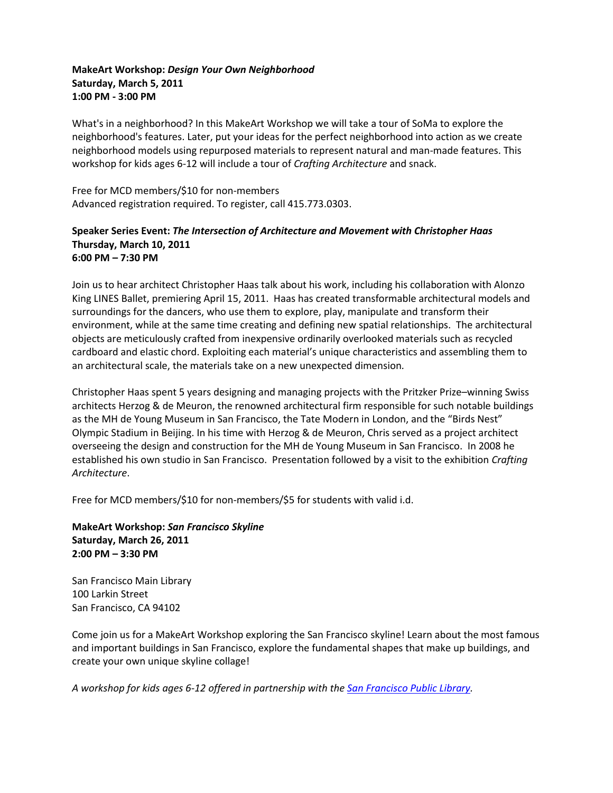### **MakeArt Workshop:** *Design Your Own Neighborhood* **Saturday, March 5, 2011 1:00 PM - 3:00 PM**

What's in a neighborhood? In this MakeArt Workshop we will take a tour of SoMa to explore the neighborhood's features. Later, put your ideas for the perfect neighborhood into action as we create neighborhood models using repurposed materials to represent natural and man-made features. This workshop for kids ages 6-12 will include a tour of *Crafting Architecture* and snack.

Free for MCD members/\$10 for non-members Advanced registration required. To register, call 415.773.0303.

#### **Speaker Series Event:** *The Intersection of Architecture and Movement with Christopher Haas* **Thursday, March 10, 2011 6:00 PM – 7:30 PM**

Join us to hear architect Christopher Haas talk about his work, including his collaboration with Alonzo King LINES Ballet, premiering April 15, 2011. Haas has created transformable architectural models and surroundings for the dancers, who use them to explore, play, manipulate and transform their environment, while at the same time creating and defining new spatial relationships. The architectural objects are meticulously crafted from inexpensive ordinarily overlooked materials such as recycled cardboard and elastic chord. Exploiting each material's unique characteristics and assembling them to an architectural scale, the materials take on a new unexpected dimension*.*

Christopher Haas spent 5 years designing and managing projects with the Pritzker Prize–winning Swiss architects Herzog & de Meuron, the renowned architectural firm responsible for such notable buildings as the MH de Young Museum in San Francisco, the Tate Modern in London, and the "Birds Nest" Olympic Stadium in Beijing. In his time with Herzog & de Meuron, Chris served as a project architect overseeing the design and construction for the MH de Young Museum in San Francisco. In 2008 he established his own studio in San Francisco. Presentation followed by a visit to the exhibition *Crafting Architecture*.

Free for MCD members/\$10 for non-members/\$5 for students with valid i.d.

**MakeArt Workshop:** *San Francisco Skyline* **Saturday, March 26, 2011 2:00 PM – 3:30 PM**

San Francisco Main Library 100 Larkin Street San Francisco, CA 94102

Come join us for a MakeArt Workshop exploring the San Francisco skyline! Learn about the most famous and important buildings in San Francisco, explore the fundamental shapes that make up buildings, and create your own unique skyline collage!

*A workshop for kids ages 6-12 offered in partnership with the [San Francisco Public Library.](http://sfpl.org/)*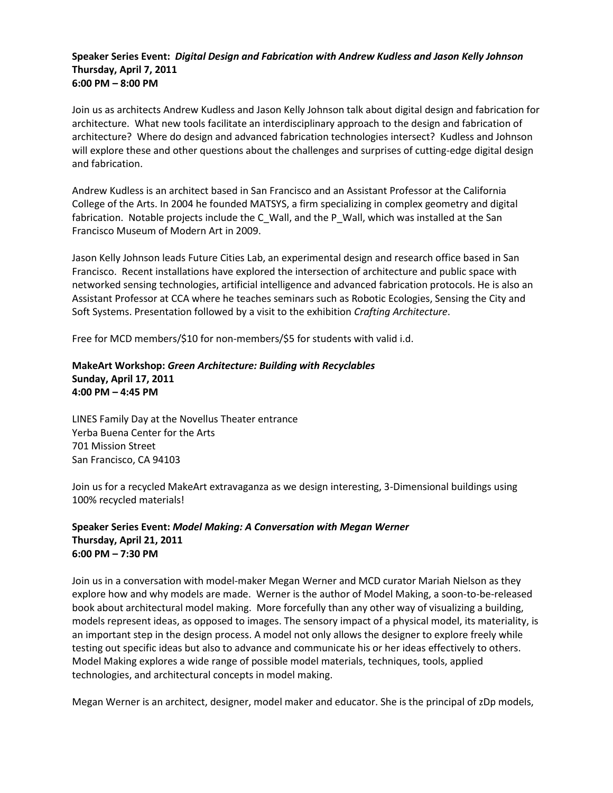### **Speaker Series Event:** *Digital Design and Fabrication with Andrew Kudless and Jason Kelly Johnson* **Thursday, April 7, 2011 6:00 PM – 8:00 PM**

Join us as architects Andrew Kudless and Jason Kelly Johnson talk about digital design and fabrication for architecture. What new tools facilitate an interdisciplinary approach to the design and fabrication of architecture? Where do design and advanced fabrication technologies intersect? Kudless and Johnson will explore these and other questions about the challenges and surprises of cutting-edge digital design and fabrication.

Andrew Kudless is an architect based in San Francisco and an Assistant Professor at the California College of the Arts. In 2004 he founded MATSYS, a firm specializing in complex geometry and digital fabrication. Notable projects include the C\_Wall, and the P\_Wall, which was installed at the San Francisco Museum of Modern Art in 2009.

Jason Kelly Johnson leads Future Cities Lab, an experimental design and research office based in San Francisco. Recent installations have explored the intersection of architecture and public space with networked sensing technologies, artificial intelligence and advanced fabrication protocols. He is also an Assistant Professor at CCA where he teaches seminars such as Robotic Ecologies, Sensing the City and Soft Systems. Presentation followed by a visit to the exhibition *Crafting Architecture*.

Free for MCD members/\$10 for non-members/\$5 for students with valid i.d.

#### **MakeArt Workshop:** *Green Architecture: Building with Recyclables* **Sunday, April 17, 2011 4:00 PM – 4:45 PM**

LINES Family Day at the Novellus Theater entrance Yerba Buena Center for the Arts 701 Mission Street San Francisco, CA 94103

Join us for a recycled MakeArt extravaganza as we design interesting, 3-Dimensional buildings using 100% recycled materials!

## **Speaker Series Event:** *Model Making: A Conversation with Megan Werner* **Thursday, April 21, 2011 6:00 PM – 7:30 PM**

Join us in a conversation with model-maker Megan Werner and MCD curator Mariah Nielson as they explore how and why models are made. Werner is the author of Model Making, a soon-to-be-released book about architectural model making. More forcefully than any other way of visualizing a building, models represent ideas, as opposed to images. The sensory impact of a physical model, its materiality, is an important step in the design process. A model not only allows the designer to explore freely while testing out specific ideas but also to advance and communicate his or her ideas effectively to others. Model Making explores a wide range of possible model materials, techniques, tools, applied technologies, and architectural concepts in model making.

Megan Werner is an architect, designer, model maker and educator. She is the principal of zDp models,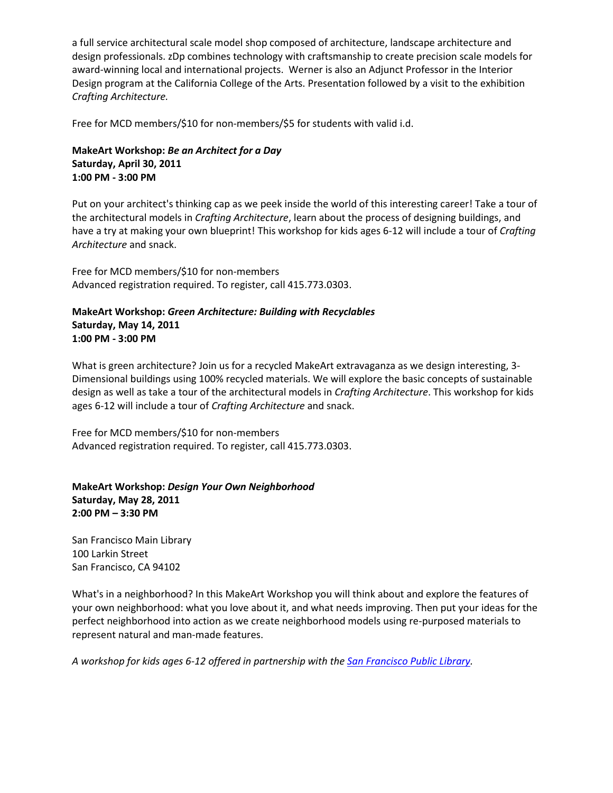a full service architectural scale model shop composed of architecture, landscape architecture and design professionals. zDp combines technology with craftsmanship to create precision scale models for award-winning local and international projects. Werner is also an Adjunct Professor in the Interior Design program at the California College of the Arts. Presentation followed by a visit to the exhibition *Crafting Architecture.*

Free for MCD members/\$10 for non-members/\$5 for students with valid i.d.

## **MakeArt Workshop:** *Be an Architect for a Day* **Saturday, April 30, 2011 1:00 PM - 3:00 PM**

Put on your architect's thinking cap as we peek inside the world of this interesting career! Take a tour of the architectural models in *Crafting Architecture*, learn about the process of designing buildings, and have a try at making your own blueprint! This workshop for kids ages 6-12 will include a tour of *Crafting Architecture* and snack.

Free for MCD members/\$10 for non-members Advanced registration required. To register, call 415.773.0303.

### **MakeArt Workshop:** *Green Architecture: Building with Recyclables* **Saturday, May 14, 2011 1:00 PM - 3:00 PM**

What is green architecture? Join us for a recycled MakeArt extravaganza as we design interesting, 3- Dimensional buildings using 100% recycled materials. We will explore the basic concepts of sustainable design as well as take a tour of the architectural models in *Crafting Architecture*. This workshop for kids ages 6-12 will include a tour of *Crafting Architecture* and snack.

Free for MCD members/\$10 for non-members Advanced registration required. To register, call 415.773.0303.

**MakeArt Workshop:** *Design Your Own Neighborhood* **Saturday, May 28, 2011 2:00 PM – 3:30 PM**

San Francisco Main Library 100 Larkin Street San Francisco, CA 94102

What's in a neighborhood? In this MakeArt Workshop you will think about and explore the features of your own neighborhood: what you love about it, and what needs improving. Then put your ideas for the perfect neighborhood into action as we create neighborhood models using re-purposed materials to represent natural and man-made features.

*A workshop for kids ages 6-12 offered in partnership with the [San Francisco Public Library.](http://sfpl.org/)*